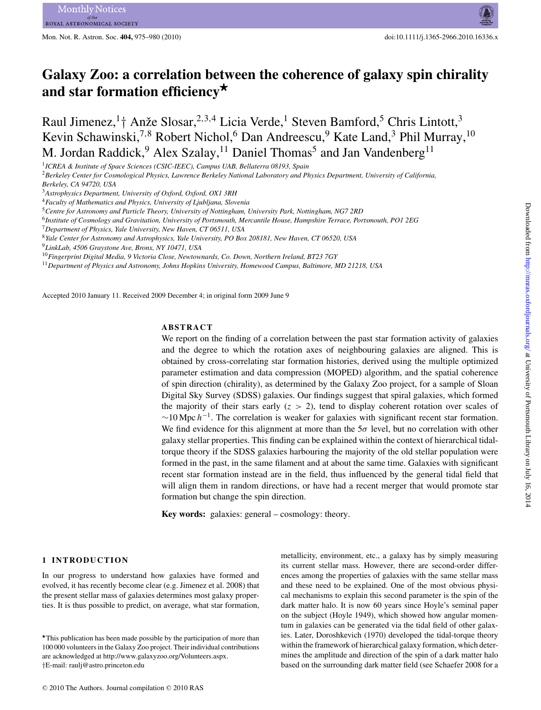# **Galaxy Zoo: a correlation between the coherence of galaxy spin chirality and star formation efficiency***-*

Raul Jimenez,<sup>1</sup>† Anže Slosar,<sup>2,3,4</sup> Licia Verde,<sup>1</sup> Steven Bamford,<sup>5</sup> Chris Lintott,<sup>3</sup> Kevin Schawinski,<sup>7,8</sup> Robert Nichol,<sup>6</sup> Dan Andreescu,<sup>9</sup> Kate Land,<sup>3</sup> Phil Murray,<sup>10</sup> M. Jordan Raddick,<sup>9</sup> Alex Szalay,<sup>11</sup> Daniel Thomas<sup>5</sup> and Jan Vandenberg<sup>11</sup>

<sup>1</sup>*ICREA & Institute of Space Sciences (CSIC-IEEC), Campus UAB, Bellaterra 08193, Spain*

<sup>2</sup>*Berkeley Center for Cosmological Physics, Lawrence Berkeley National Laboratory and Physics Department, University of California, Berkeley, CA 94720, USA*

<sup>3</sup>*Astrophysics Department, University of Oxford, Oxford, OX1 3RH*

<sup>4</sup>*Faculty of Mathematics and Physics, University of Ljubljana, Slovenia*

<sup>5</sup>*Centre for Astronomy and Particle Theory, University of Nottingham, University Park, Nottingham, NG7 2RD*

<sup>6</sup>*Institute of Cosmology and Gravitation, University of Portsmouth, Mercantile House, Hampshire Terrace, Portsmouth, PO1 2EG*

<sup>8</sup>*Yale Center for Astronomy and Astrophysics, Yale University, PO Box 208181, New Haven, CT 06520, USA*

<sup>9</sup>*LinkLab, 4506 Graystone Ave, Bronx, NY 10471, USA*

<sup>10</sup>*Fingerprint Digital Media, 9 Victoria Close, Newtownards, Co. Down, Northern Ireland, BT23 7GY*

<sup>11</sup>*Department of Physics and Astronomy, Johns Hopkins University, Homewood Campus, Baltimore, MD 21218, USA*

Accepted 2010 January 11. Received 2009 December 4; in original form 2009 June 9

#### **ABSTRACT**

We report on the finding of a correlation between the past star formation activity of galaxies and the degree to which the rotation axes of neighbouring galaxies are aligned. This is obtained by cross-correlating star formation histories, derived using the multiple optimized parameter estimation and data compression (MOPED) algorithm, and the spatial coherence of spin direction (chirality), as determined by the Galaxy Zoo project, for a sample of Sloan Digital Sky Survey (SDSS) galaxies. Our findings suggest that spiral galaxies, which formed the majority of their stars early  $(z > 2)$ , tend to display coherent rotation over scales of <sup>∼</sup>10 Mpc *<sup>h</sup>*−1. The correlation is weaker for galaxies with significant recent star formation. We find evidence for this alignment at more than the  $5\sigma$  level, but no correlation with other galaxy stellar properties. This finding can be explained within the context of hierarchical tidaltorque theory if the SDSS galaxies harbouring the majority of the old stellar population were formed in the past, in the same filament and at about the same time. Galaxies with significant recent star formation instead are in the field, thus influenced by the general tidal field that will align them in random directions, or have had a recent merger that would promote star formation but change the spin direction.

**Key words:** galaxies: general – cosmology: theory.

#### **1 INTRODUCTION**

In our progress to understand how galaxies have formed and evolved, it has recently become clear (e.g. Jimenez et al. 2008) that the present stellar mass of galaxies determines most galaxy properties. It is thus possible to predict, on average, what star formation,

metallicity, environment, etc., a galaxy has by simply measuring its current stellar mass. However, there are second-order differences among the properties of galaxies with the same stellar mass and these need to be explained. One of the most obvious physical mechanisms to explain this second parameter is the spin of the dark matter halo. It is now 60 years since Hoyle's seminal paper on the subject (Hoyle 1949), which showed how angular momentum in galaxies can be generated via the tidal field of other galaxies. Later, Doroshkevich (1970) developed the tidal-torque theory within the framework of hierarchical galaxy formation, which determines the amplitude and direction of the spin of a dark matter halo based on the surrounding dark matter field (see Schaefer 2008 for a

<sup>7</sup>*Department of Physics, Yale University, New Haven, CT 06511, USA*

This publication has been made possible by the participation of more than 100 000 volunteers in the Galaxy Zoo project. Their individual contributions are acknowledged at http://www.galaxyzoo.org/Volunteers.aspx. †E-mail: raulj@astro.princeton.edu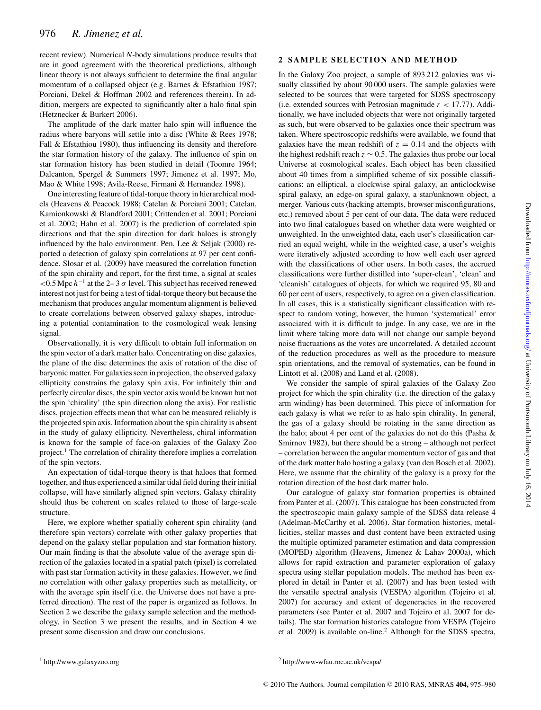recent review). Numerical *N*-body simulations produce results that are in good agreement with the theoretical predictions, although linear theory is not always sufficient to determine the final angular momentum of a collapsed object (e.g. Barnes & Efstathiou 1987; Porciani, Dekel & Hoffman 2002 and references therein). In addition, mergers are expected to significantly alter a halo final spin (Hetznecker & Burkert 2006).

The amplitude of the dark matter halo spin will influence the radius where baryons will settle into a disc (White & Rees 1978; Fall & Efstathiou 1980), thus influencing its density and therefore the star formation history of the galaxy. The influence of spin on star formation history has been studied in detail (Toomre 1964; Dalcanton, Spergel & Summers 1997; Jimenez et al. 1997; Mo, Mao & White 1998; Avila-Reese, Firmani & Hernandez 1998).

One interesting feature of tidal-torque theory in hierarchical models (Heavens & Peacock 1988; Catelan & Porciani 2001; Catelan, Kamionkowski & Blandford 2001; Crittenden et al. 2001; Porciani et al. 2002; Hahn et al. 2007) is the prediction of correlated spin directions and that the spin direction for dark haloes is strongly influenced by the halo environment. Pen, Lee & Seljak (2000) reported a detection of galaxy spin correlations at 97 per cent confidence. Slosar et al. (2009) have measured the correlation function of the spin chirality and report, for the first time, a signal at scales  $\lt$ 0.5 Mpc  $h^{-1}$  at the 2–3  $\sigma$  level. This subject has received renewed interest not just for being a test of tidal-torque theory but because the mechanism that produces angular momentum alignment is believed to create correlations between observed galaxy shapes, introducing a potential contamination to the cosmological weak lensing signal.

Observationally, it is very difficult to obtain full information on the spin vector of a dark matter halo. Concentrating on disc galaxies, the plane of the disc determines the axis of rotation of the disc of baryonic matter. For galaxies seen in projection, the observed galaxy ellipticity constrains the galaxy spin axis. For infinitely thin and perfectly circular discs, the spin vector axis would be known but not the spin 'chirality' (the spin direction along the axis). For realistic discs, projection effects mean that what can be measured reliably is the projected spin axis. Information about the spin chirality is absent in the study of galaxy ellipticity. Nevertheless, chiral information is known for the sample of face-on galaxies of the Galaxy Zoo project.<sup>1</sup> The correlation of chirality therefore implies a correlation of the spin vectors.

An expectation of tidal-torque theory is that haloes that formed together, and thus experienced a similar tidal field during their initial collapse, will have similarly aligned spin vectors. Galaxy chirality should thus be coherent on scales related to those of large-scale structure.

Here, we explore whether spatially coherent spin chirality (and therefore spin vectors) correlate with other galaxy properties that depend on the galaxy stellar population and star formation history. Our main finding is that the absolute value of the average spin direction of the galaxies located in a spatial patch (pixel) is correlated with past star formation activity in these galaxies. However, we find no correlation with other galaxy properties such as metallicity, or with the average spin itself (i.e. the Universe does not have a preferred direction). The rest of the paper is organized as follows. In Section 2 we describe the galaxy sample selection and the methodology, in Section 3 we present the results, and in Section 4 we present some discussion and draw our conclusions.

### **2 SAMPLE SELECTION AND METHOD**

In the Galaxy Zoo project, a sample of 893 212 galaxies was visually classified by about 90 000 users. The sample galaxies were selected to be sources that were targeted for SDSS spectroscopy (i.e. extended sources with Petrosian magnitude *r <* 17.77). Additionally, we have included objects that were not originally targeted as such, but were observed to be galaxies once their spectrum was taken. Where spectroscopic redshifts were available, we found that galaxies have the mean redshift of  $z = 0.14$  and the objects with the highest redshift reach *z* ∼ 0.5. The galaxies thus probe our local Universe at cosmological scales. Each object has been classified about 40 times from a simplified scheme of six possible classifications: an elliptical, a clockwise spiral galaxy, an anticlockwise spiral galaxy, an edge-on spiral galaxy, a star/unknown object, a merger. Various cuts (hacking attempts, browser misconfigurations, etc.) removed about 5 per cent of our data. The data were reduced into two final catalogues based on whether data were weighted or unweighted. In the unweighted data, each user's classification carried an equal weight, while in the weighted case, a user's weights were iteratively adjusted according to how well each user agreed with the classifications of other users. In both cases, the accrued classifications were further distilled into 'super-clean', 'clean' and 'cleanish' catalogues of objects, for which we required 95, 80 and 60 per cent of users, respectively, to agree on a given classification. In all cases, this is a statistically significant classification with respect to random voting; however, the human 'systematical' error associated with it is difficult to judge. In any case, we are in the limit where taking more data will not change our sample beyond noise fluctuations as the votes are uncorrelated. A detailed account of the reduction procedures as well as the procedure to measure spin orientations, and the removal of systematics, can be found in Lintott et al. (2008) and Land et al. (2008).

We consider the sample of spiral galaxies of the Galaxy Zoo project for which the spin chirality (i.e. the direction of the galaxy arm winding) has been determined. This piece of information for each galaxy is what we refer to as halo spin chirality. In general, the gas of a galaxy should be rotating in the same direction as the halo; about 4 per cent of the galaxies do not do this (Pasha & Smirnov 1982), but there should be a strong – although not perfect – correlation between the angular momentum vector of gas and that of the dark matter halo hosting a galaxy (van den Bosch et al. 2002). Here, we assume that the chirality of the galaxy is a proxy for the rotation direction of the host dark matter halo.

Our catalogue of galaxy star formation properties is obtained from Panter et al. (2007). This catalogue has been constructed from the spectroscopic main galaxy sample of the SDSS data release 4 (Adelman-McCarthy et al. 2006). Star formation histories, metallicities, stellar masses and dust content have been extracted using the multiple optimized parameter estimation and data compression (MOPED) algorithm (Heavens, Jimenez & Lahav 2000a), which allows for rapid extraction and parameter exploration of galaxy spectra using stellar population models. The method has been explored in detail in Panter et al. (2007) and has been tested with the versatile spectral analysis (VESPA) algorithm (Tojeiro et al. 2007) for accuracy and extent of degeneracies in the recovered parameters (see Panter et al. 2007 and Tojeiro et al. 2007 for details). The star formation histories catalogue from VESPA (Tojeiro et al. 2009) is available on-line.<sup>2</sup> Although for the SDSS spectra,

<sup>2</sup> http://www-wfau.roe.ac.uk/vespa/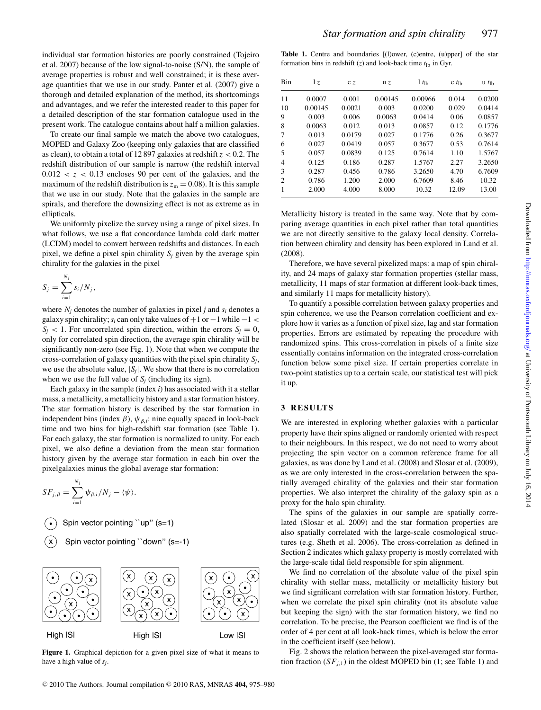individual star formation histories are poorly constrained (Tojeiro et al. 2007) because of the low signal-to-noise (S/N), the sample of average properties is robust and well constrained; it is these average quantities that we use in our study. Panter et al. (2007) give a thorough and detailed explanation of the method, its shortcomings and advantages, and we refer the interested reader to this paper for a detailed description of the star formation catalogue used in the present work. The catalogue contains about half a million galaxies.

To create our final sample we match the above two catalogues, MOPED and Galaxy Zoo (keeping only galaxies that are classified as clean), to obtain a total of 12 897 galaxies at redshift *z <* 0.2. The redshift distribution of our sample is narrow (the redshift interval  $0.012 < z < 0.13$  encloses 90 per cent of the galaxies, and the maximum of the redshift distribution is  $z_m = 0.08$ ). It is this sample that we use in our study. Note that the galaxies in the sample are spirals, and therefore the downsizing effect is not as extreme as in ellipticals.

We uniformly pixelize the survey using a range of pixel sizes. In what follows, we use a flat concordance lambda cold dark matter (LCDM) model to convert between redshifts and distances. In each pixel, we define a pixel spin chirality  $S_i$  given by the average spin chirality for the galaxies in the pixel

$$
S_j = \sum_{i=1}^{N_j} s_i / N_j,
$$

where  $N_i$  denotes the number of galaxies in pixel *j* and  $s_i$  denotes a galaxy spin chirality;  $s_i$  can only take values of +1 or −1 while −1 <  $S_i$  < 1. For uncorrelated spin direction, within the errors  $S_i = 0$ , only for correlated spin direction, the average spin chirality will be significantly non-zero (see Fig. 1). Note that when we compute the cross-correlation of galaxy quantities with the pixel spin chirality *Sj*, we use the absolute value,  $|S_i|$ . We show that there is no correlation when we use the full value of  $S_i$  (including its sign).

Each galaxy in the sample (index *i*) has associated with it a stellar mass, a metallicity, a metallicity history and a star formation history. The star formation history is described by the star formation in independent bins (index  $β$ ),  $ψ_{β,i}$ : nine equally spaced in look-back time and two bins for high-redshift star formation (see Table 1). For each galaxy, the star formation is normalized to unity. For each pixel, we also define a deviation from the mean star formation history given by the average star formation in each bin over the pixelgalaxies minus the global average star formation:

$$
SF_{j,\beta} = \sum_{i=1}^{N_j} \psi_{\beta,i}/N_j - \langle \psi \rangle.
$$

Spin vector pointing "up" (s=1)

$$
(x) \quad \text{Spin vector pointing ``down'' (s=-1)}
$$



**Figure 1.** Graphical depiction for a given pixel size of what it means to have a high value of *sj*.

| Bin | lτ      | $c$ z  | u z     | $1 t_{\rm lb}$ | $c t_{\rm lb}$ | $u t_{lb}$ |
|-----|---------|--------|---------|----------------|----------------|------------|
| 11  | 0.0007  | 0.001  | 0.00145 | 0.00966        | 0.014          | 0.0200     |
| 10  | 0.00145 | 0.0021 | 0.003   | 0.0200         | 0.029          | 0.0414     |
| 9   | 0.003   | 0.006  | 0.0063  | 0.0414         | 0.06           | 0.0857     |
| 8   | 0.0063  | 0.012  | 0.013   | 0.0857         | 0.12           | 0.1776     |
| 7   | 0.013   | 0.0179 | 0.027   | 0.1776         | 0.26           | 0.3677     |
| 6   | 0.027   | 0.0419 | 0.057   | 0.3677         | 0.53           | 0.7614     |
| 5   | 0.057   | 0.0839 | 0.125   | 0.7614         | 1.10           | 1.5767     |
| 4   | 0.125   | 0.186  | 0.287   | 1.5767         | 2.27           | 3.2650     |
| 3   | 0.287   | 0.456  | 0.786   | 3.2650         | 4.70           | 6.7609     |
| 2   | 0.786   | 1.200  | 2.000   | 6.7609         | 8.46           | 10.32      |
| 1   | 2.000   | 4.000  | 8.000   | 10.32          | 12.09          | 13.00      |

Metallicity history is treated in the same way. Note that by comparing average quantities in each pixel rather than total quantities we are not directly sensitive to the galaxy local density. Correlation between chirality and density has been explored in Land et al. (2008).

Therefore, we have several pixelized maps: a map of spin chirality, and 24 maps of galaxy star formation properties (stellar mass, metallicity, 11 maps of star formation at different look-back times, and similarly 11 maps for metallicity history).

To quantify a possible correlation between galaxy properties and spin coherence, we use the Pearson correlation coefficient and explore how it varies as a function of pixel size, lag and star formation properties. Errors are estimated by repeating the procedure with randomized spins. This cross-correlation in pixels of a finite size essentially contains information on the integrated cross-correlation function below some pixel size. If certain properties correlate in two-point statistics up to a certain scale, our statistical test will pick it up.

## **3 RESULTS**

We are interested in exploring whether galaxies with a particular property have their spins aligned or randomly oriented with respect to their neighbours. In this respect, we do not need to worry about projecting the spin vector on a common reference frame for all galaxies, as was done by Land et al. (2008) and Slosar et al. (2009), as we are only interested in the cross-correlation between the spatially averaged chirality of the galaxies and their star formation properties. We also interpret the chirality of the galaxy spin as a proxy for the halo spin chirality.

The spins of the galaxies in our sample are spatially correlated (Slosar et al. 2009) and the star formation properties are also spatially correlated with the large-scale cosmological structures (e.g. Sheth et al. 2006). The cross-correlation as defined in Section 2 indicates which galaxy property is mostly correlated with the large-scale tidal field responsible for spin alignment.

We find no correlation of the absolute value of the pixel spin chirality with stellar mass, metallicity or metallicity history but we find significant correlation with star formation history. Further, when we correlate the pixel spin chirality (not its absolute value but keeping the sign) with the star formation history, we find no correlation. To be precise, the Pearson coefficient we find is of the order of 4 per cent at all look-back times, which is below the error in the coefficient itself (see below).

Fig. 2 shows the relation between the pixel-averaged star formation fraction  $(SF_{i,1})$  in the oldest MOPED bin (1; see Table 1) and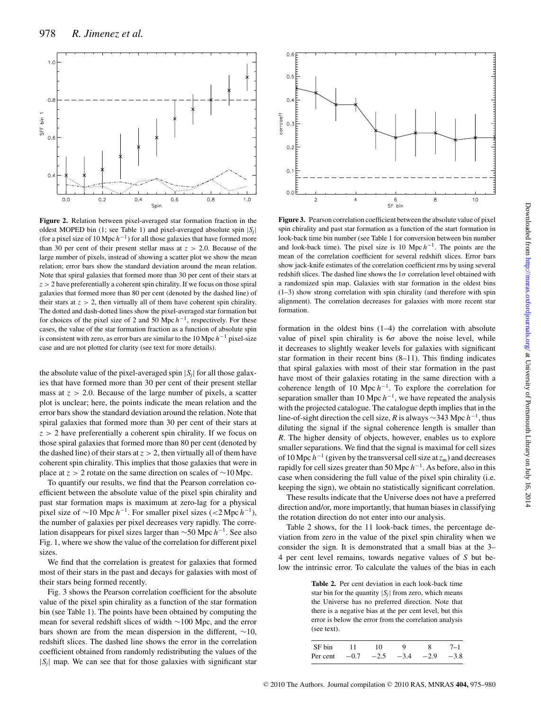

**Figure 2.** Relation between pixel-averaged star formation fraction in the oldest MOPED bin (1; see Table 1) and pixel-averaged absolute spin  $|S_i|$ (for a pixel size of 10 Mpc  $h^{-1}$ ) for all those galaxies that have formed more than 30 per cent of their present stellar mass at  $z > 2.0$ . Because of the large number of pixels, instead of showing a scatter plot we show the mean relation; error bars show the standard deviation around the mean relation. Note that spiral galaxies that formed more than 30 per cent of their stars at  $z > 2$  have preferentially a coherent spin chirality. If we focus on those spiral galaxies that formed more than 80 per cent (denoted by the dashed line) of their stars at  $z > 2$ , then virtually all of them have coherent spin chirality. The dotted and dash-dotted lines show the pixel-averaged star formation but for choices of the pixel size of 2 and 50 Mpc *h*−1, respectively. For these cases, the value of the star formation fraction as a function of absolute spin is consistent with zero, as error bars are similar to the 10 Mpc *h*−<sup>1</sup> pixel-size case and are not plotted for clarity (see text for more details).

the absolute value of the pixel-averaged spin  $|S_i|$  for all those galaxies that have formed more than 30 per cent of their present stellar mass at  $z > 2.0$ . Because of the large number of pixels, a scatter plot is unclear; here, the points indicate the mean relation and the error bars show the standard deviation around the relation. Note that spiral galaxies that formed more than 30 per cent of their stars at *z >* 2 have preferentially a coherent spin chirality. If we focus on those spiral galaxies that formed more than 80 per cent (denoted by the dashed line) of their stars at  $z > 2$ , then virtually all of them have coherent spin chirality. This implies that those galaxies that were in place at *z >* 2 rotate on the same direction on scales of ∼10 Mpc.

To quantify our results, we find that the Pearson correlation coefficient between the absolute value of the pixel spin chirality and past star formation maps is maximum at zero-lag for a physical pixel size of ∼10 Mpc *h*−1. For smaller pixel sizes (*<*2 Mpc *h*−1), the number of galaxies per pixel decreases very rapidly. The correlation disappears for pixel sizes larger than ∼50 Mpc *h*−1. See also Fig. 1, where we show the value of the correlation for different pixel sizes.

We find that the correlation is greatest for galaxies that formed most of their stars in the past and decays for galaxies with most of their stars being formed recently.

Fig. 3 shows the Pearson correlation coefficient for the absolute value of the pixel spin chirality as a function of the star formation bin (see Table 1). The points have been obtained by computing the mean for several redshift slices of width ∼100 Mpc, and the error bars shown are from the mean dispersion in the different, ∼10, redshift slices. The dashed line shows the error in the correlation coefficient obtained from randomly redistributing the values of the  $|S_i|$  map. We can see that for those galaxies with significant star



**Figure 3.** Pearson correlation coefficient between the absolute value of pixel spin chirality and past star formation as a function of the start formation in look-back time bin number (see Table 1 for conversion between bin number and look-back time). The pixel size is 10 Mpc *h*−1. The points are the mean of the correlation coefficient for several redshift slices. Error bars show jack-knife estimates of the correlation coefficient rms by using several redshift slices. The dashed line shows the  $1\sigma$  correlation level obtained with a randomized spin map. Galaxies with star formation in the oldest bins (1–3) show strong correlation with spin chirality (and therefore with spin alignment). The correlation decreases for galaxies with more recent star formation.

formation in the oldest bins (1–4) the correlation with absolute value of pixel spin chirality is 6*σ* above the noise level, while it decreases to slightly weaker levels for galaxies with significant star formation in their recent bins (8–11). This finding indicates that spiral galaxies with most of their star formation in the past have most of their galaxies rotating in the same direction with a coherence length of 10 Mpc *h*−1. To explore the correlation for separation smaller than 10 Mpc *h*−1, we have repeated the analysis with the projected catalogue. The catalogue depth implies that in the line-of-sight direction the cell size, *R* is always ∼343 Mpc *h*−1, thus diluting the signal if the signal coherence length is smaller than *R*. The higher density of objects, however, enables us to explore smaller separations. We find that the signal is maximal for cell sizes of 10 Mpc *h*−<sup>1</sup> (given by the transversal cell size at*z*m) and decreases rapidly for cell sizes greater than 50 Mpc *h*−1. As before, also in this case when considering the full value of the pixel spin chirality (i.e. keeping the sign), we obtain no statistically significant correlation.

These results indicate that the Universe does not have a preferred direction and/or, more importantly, that human biases in classifying the rotation direction do not enter into our analysis.

Table 2 shows, for the 11 look-back times, the percentage deviation from zero in the value of the pixel spin chirality when we consider the sign. It is demonstrated that a small bias at the 3– 4 per cent level remains, towards negative values of *S* but below the intrinsic error. To calculate the values of the bias in each

**Table 2.** Per cent deviation in each look-back time star bin for the quantity  $|S_i|$  from zero, which means the Universe has no preferred direction. Note that there is a negative bias at the per cent level, but this error is below the error from the correlation analysis (see text).

| SF bin                                      | $\overline{11}$ | 10 |  |  |
|---------------------------------------------|-----------------|----|--|--|
| Per cent $-0.7$ $-2.5$ $-3.4$ $-2.9$ $-3.8$ |                 |    |  |  |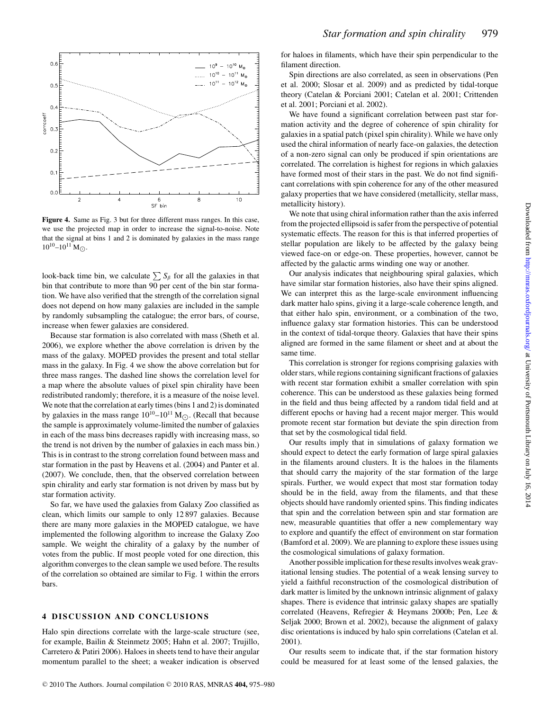

**Figure 4.** Same as Fig. 3 but for three different mass ranges. In this case, we use the projected map in order to increase the signal-to-noise. Note that the signal at bins 1 and 2 is dominated by galaxies in the mass range  $10^{10} - 10^{11}$  M...

look-back time bin, we calculate  $\sum S_\beta$  for all the galaxies in that bin that contribute to more than 90 per cent of the bin star formation. We have also verified that the strength of the correlation signal does not depend on how many galaxies are included in the sample by randomly subsampling the catalogue; the error bars, of course, increase when fewer galaxies are considered.

Because star formation is also correlated with mass (Sheth et al. 2006), we explore whether the above correlation is driven by the mass of the galaxy. MOPED provides the present and total stellar mass in the galaxy. In Fig. 4 we show the above correlation but for three mass ranges. The dashed line shows the correlation level for a map where the absolute values of pixel spin chirality have been redistributed randomly; therefore, it is a measure of the noise level. We note that the correlation at early times (bins 1 and 2) is dominated by galaxies in the mass range  $10^{10} - 10^{11}$  M $\odot$ . (Recall that because the sample is approximately volume-limited the number of galaxies in each of the mass bins decreases rapidly with increasing mass, so the trend is not driven by the number of galaxies in each mass bin.) This is in contrast to the strong correlation found between mass and star formation in the past by Heavens et al. (2004) and Panter et al. (2007). We conclude, then, that the observed correlation between spin chirality and early star formation is not driven by mass but by star formation activity.

So far, we have used the galaxies from Galaxy Zoo classified as clean, which limits our sample to only 12 897 galaxies. Because there are many more galaxies in the MOPED catalogue, we have implemented the following algorithm to increase the Galaxy Zoo sample. We weight the chirality of a galaxy by the number of votes from the public. If most people voted for one direction, this algorithm converges to the clean sample we used before. The results of the correlation so obtained are similar to Fig. 1 within the errors bars.

#### **4 DISCUSSION AND CONCLUSIONS**

Halo spin directions correlate with the large-scale structure (see, for example, Bailin & Steinmetz 2005; Hahn et al. 2007; Trujillo, Carretero & Patiri 2006). Haloes in sheets tend to have their angular momentum parallel to the sheet; a weaker indication is observed for haloes in filaments, which have their spin perpendicular to the filament direction.

Spin directions are also correlated, as seen in observations (Pen et al. 2000; Slosar et al. 2009) and as predicted by tidal-torque theory (Catelan & Porciani 2001; Catelan et al. 2001; Crittenden et al. 2001; Porciani et al. 2002).

We have found a significant correlation between past star formation activity and the degree of coherence of spin chirality for galaxies in a spatial patch (pixel spin chirality). While we have only used the chiral information of nearly face-on galaxies, the detection of a non-zero signal can only be produced if spin orientations are correlated. The correlation is highest for regions in which galaxies have formed most of their stars in the past. We do not find significant correlations with spin coherence for any of the other measured galaxy properties that we have considered (metallicity, stellar mass, metallicity history).

We note that using chiral information rather than the axis inferred from the projected ellipsoid is safer from the perspective of potential systematic effects. The reason for this is that inferred properties of stellar population are likely to be affected by the galaxy being viewed face-on or edge-on. These properties, however, cannot be affected by the galactic arms winding one way or another.

Our analysis indicates that neighbouring spiral galaxies, which have similar star formation histories, also have their spins aligned. We can interpret this as the large-scale environment influencing dark matter halo spins, giving it a large-scale coherence length, and that either halo spin, environment, or a combination of the two, influence galaxy star formation histories. This can be understood in the context of tidal-torque theory. Galaxies that have their spins aligned are formed in the same filament or sheet and at about the same time.

This correlation is stronger for regions comprising galaxies with older stars, while regions containing significant fractions of galaxies with recent star formation exhibit a smaller correlation with spin coherence. This can be understood as these galaxies being formed in the field and thus being affected by a random tidal field and at different epochs or having had a recent major merger. This would promote recent star formation but deviate the spin direction from that set by the cosmological tidal field.

Our results imply that in simulations of galaxy formation we should expect to detect the early formation of large spiral galaxies in the filaments around clusters. It is the haloes in the filaments that should carry the majority of the star formation of the large spirals. Further, we would expect that most star formation today should be in the field, away from the filaments, and that these objects should have randomly oriented spins. This finding indicates that spin and the correlation between spin and star formation are new, measurable quantities that offer a new complementary way to explore and quantify the effect of environment on star formation (Bamford et al. 2009). We are planning to explore these issues using the cosmological simulations of galaxy formation.

Another possible implication for these results involves weak gravitational lensing studies. The potential of a weak lensing survey to yield a faithful reconstruction of the cosmological distribution of dark matter is limited by the unknown intrinsic alignment of galaxy shapes. There is evidence that intrinsic galaxy shapes are spatially correlated (Heavens, Refregier & Heymans 2000b; Pen, Lee & Seljak 2000; Brown et al. 2002), because the alignment of galaxy disc orientations is induced by halo spin correlations (Catelan et al. 2001).

Our results seem to indicate that, if the star formation history could be measured for at least some of the lensed galaxies, the